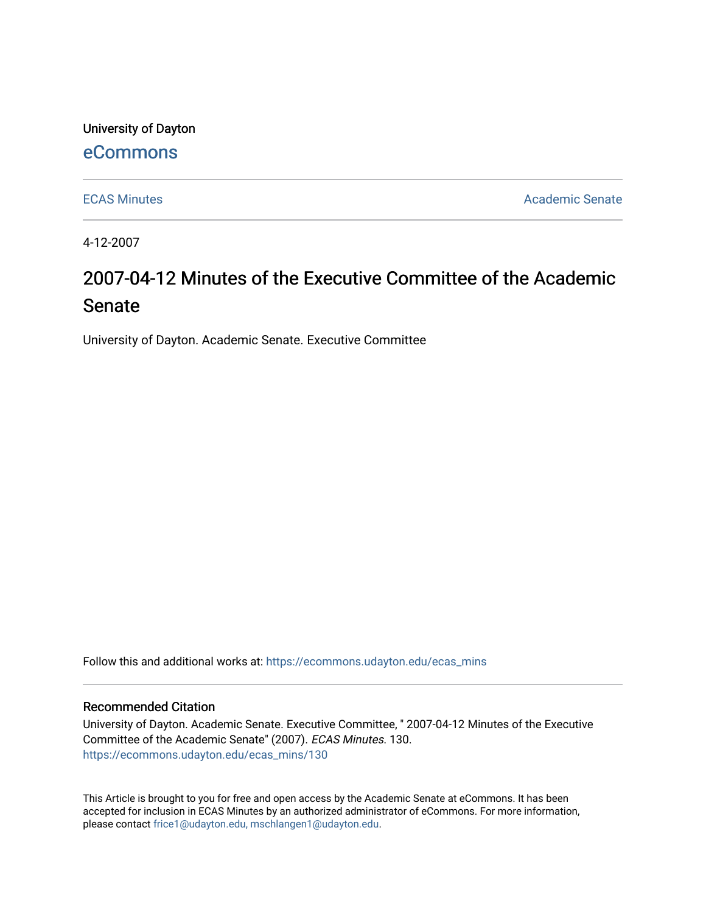University of Dayton

## [eCommons](https://ecommons.udayton.edu/)

**[ECAS Minutes](https://ecommons.udayton.edu/ecas_mins) Academic Senate** [Academic Senate](https://ecommons.udayton.edu/academic_senate) Academic Senate

4-12-2007

## 2007-04-12 Minutes of the Executive Committee of the Academic Senate

University of Dayton. Academic Senate. Executive Committee

Follow this and additional works at: [https://ecommons.udayton.edu/ecas\\_mins](https://ecommons.udayton.edu/ecas_mins?utm_source=ecommons.udayton.edu%2Fecas_mins%2F130&utm_medium=PDF&utm_campaign=PDFCoverPages)

## Recommended Citation

University of Dayton. Academic Senate. Executive Committee, " 2007-04-12 Minutes of the Executive Committee of the Academic Senate" (2007). ECAS Minutes. 130. [https://ecommons.udayton.edu/ecas\\_mins/130](https://ecommons.udayton.edu/ecas_mins/130?utm_source=ecommons.udayton.edu%2Fecas_mins%2F130&utm_medium=PDF&utm_campaign=PDFCoverPages)

This Article is brought to you for free and open access by the Academic Senate at eCommons. It has been accepted for inclusion in ECAS Minutes by an authorized administrator of eCommons. For more information, please contact [frice1@udayton.edu, mschlangen1@udayton.edu.](mailto:frice1@udayton.edu,%20mschlangen1@udayton.edu)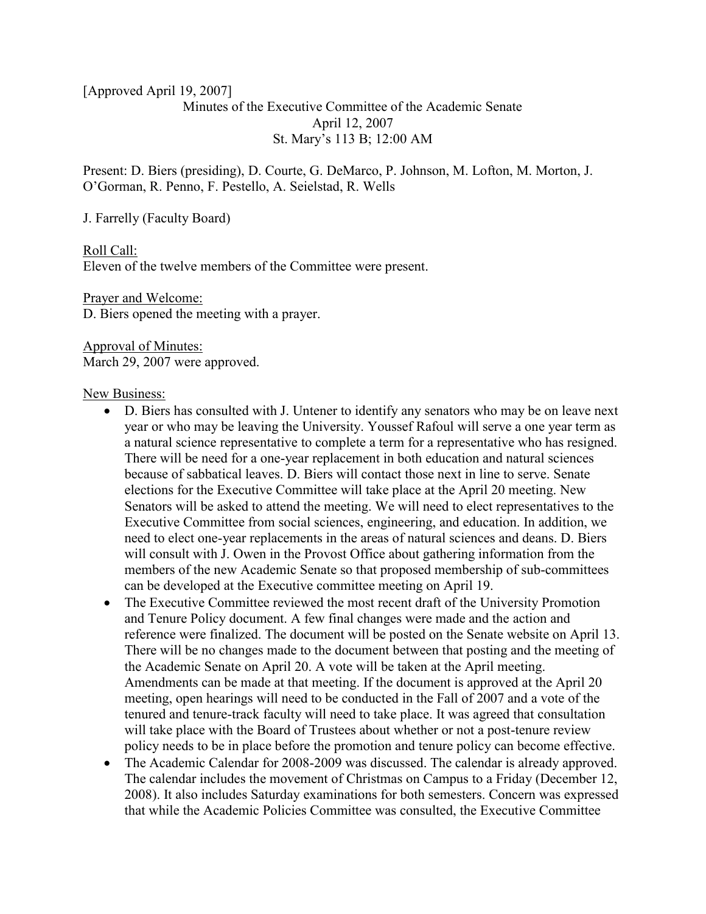[Approved April 19, 2007]

Minutes of the Executive Committee of the Academic Senate April 12, 2007 St. Mary's 113 B; 12:00 AM

Present: D. Biers (presiding), D. Courte, G. DeMarco, P. Johnson, M. Lofton, M. Morton, J. O'Gorman, R. Penno, F. Pestello, A. Seielstad, R. Wells

J. Farrelly (Faculty Board)

Roll Call: Eleven of the twelve members of the Committee were present.

Prayer and Welcome: D. Biers opened the meeting with a prayer.

Approval of Minutes: March 29, 2007 were approved.

New Business:

- D. Biers has consulted with J. Untener to identify any senators who may be on leave next year or who may be leaving the University. Youssef Rafoul will serve a one year term as a natural science representative to complete a term for a representative who has resigned. There will be need for a one-year replacement in both education and natural sciences because of sabbatical leaves. D. Biers will contact those next in line to serve. Senate elections for the Executive Committee will take place at the April 20 meeting. New Senators will be asked to attend the meeting. We will need to elect representatives to the Executive Committee from social sciences, engineering, and education. In addition, we need to elect one-year replacements in the areas of natural sciences and deans. D. Biers will consult with J. Owen in the Provost Office about gathering information from the members of the new Academic Senate so that proposed membership of sub-committees can be developed at the Executive committee meeting on April 19.
- The Executive Committee reviewed the most recent draft of the University Promotion and Tenure Policy document. A few final changes were made and the action and reference were finalized. The document will be posted on the Senate website on April 13. There will be no changes made to the document between that posting and the meeting of the Academic Senate on April 20. A vote will be taken at the April meeting. Amendments can be made at that meeting. If the document is approved at the April 20 meeting, open hearings will need to be conducted in the Fall of 2007 and a vote of the tenured and tenure-track faculty will need to take place. It was agreed that consultation will take place with the Board of Trustees about whether or not a post-tenure review policy needs to be in place before the promotion and tenure policy can become effective.
- The Academic Calendar for 2008-2009 was discussed. The calendar is already approved. The calendar includes the movement of Christmas on Campus to a Friday (December 12, 2008). It also includes Saturday examinations for both semesters. Concern was expressed that while the Academic Policies Committee was consulted, the Executive Committee